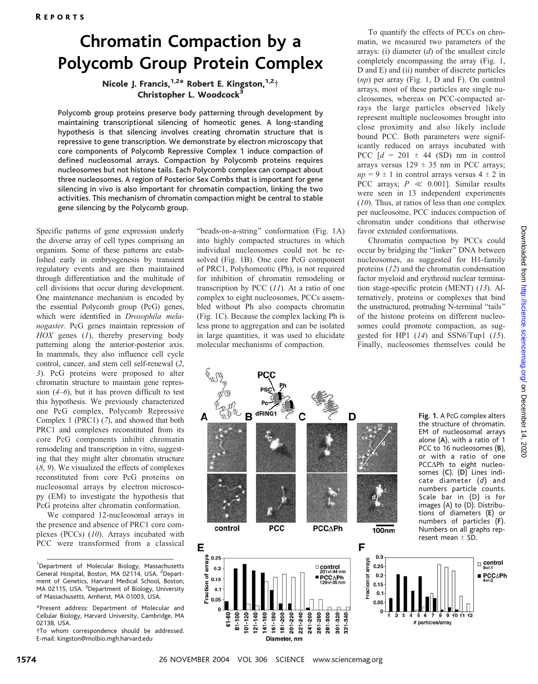# Chromatin Compaction by a Polycomb Group Protein Complex

Nicole J. Francis,  $1.2*$  Robert E. Kingston,  $1.2*$ Christopher L. Woodcock<sup>3</sup>

Polycomb group proteins preserve body patterning through development by maintaining transcriptional silencing of homeotic genes. A long-standing hypothesis is that silencing involves creating chromatin structure that is repressive to gene transcription. We demonstrate by electron microscopy that core components of Polycomb Repressive Complex 1 induce compaction of defined nucleosomal arrays. Compaction by Polycomb proteins requires nucleosomes but not histone tails. Each Polycomb complex can compact about three nucleosomes. A region of Posterior Sex Combs that is important for gene silencing in vivo is also important for chromatin compaction, linking the two activities. This mechanism of chromatin compaction might be central to stable gene silencing by the Polycomb group.

Specific patterns of gene expression underly the diverse array of cell types comprising an organism. Some of these patterns are established early in embryogenesis by transient regulatory events and are then maintained through differentiation and the multitude of cell divisions that occur during development. One maintenance mechanism is encoded by the essential Polycomb group (PcG) genes, which were identified in Drosophila melanogaster. PcG genes maintain repression of  $HOX$  genes  $(I)$ , thereby preserving body patterning along the anterior-posterior axis. In mammals, they also influence cell cycle control, cancer, and stem cell self-renewal (2, 3). PcG proteins were proposed to alter chromatin structure to maintain gene repression  $(4-6)$ , but it has proven difficult to test this hypothesis. We previously characterized one PcG complex, Polycomb Repressive Complex 1 (PRC1) (7), and showed that both PRC1 and complexes reconstituted from its core PcG components inhibit chromatin remodeling and transcription in vitro, suggesting that they might alter chromatin structure (8, 9). We visualized the effects of complexes reconstituted from core PcG proteins on nucleosomal arrays by electron microscopy (EM) to investigate the hypothesis that PcG proteins alter chromatin conformation.

We compared 12-nucleosomal arrays in the presence and absence of PRC1 core complexes (PCCs) (10). Arrays incubated with PCC were transformed from a classical "beads-on-a-string" conformation (Fig. 1A) into highly compacted structures in which individual nucleosomes could not be resolved (Fig. 1B). One core PcG component of PRC1, Polyhomeotic (Ph), is not required for inhibition of chromatin remodeling or transcription by PCC  $(11)$ . At a ratio of one complex to eight nucleosomes, PCCs assembled without Ph also compacts chromatin (Fig. 1C). Because the complex lacking Ph is less prone to aggregation and can be isolated in large quantities, it was used to elucidate molecular mechanisms of compaction.

To quantify the effects of PCCs on chromatin, we measured two parameters of the arrays: (i) diameter  $(d)$  of the smallest circle completely encompassing the array (Fig. 1, D and E) and (ii) number of discrete particles (np) per array (Fig. 1, D and F). On control arrays, most of these particles are single nucleosomes, whereas on PCC-compacted arrays the large particles observed likely represent multiple nucleosomes brought into close proximity and also likely include bound PCC. Both parameters were significantly reduced on arrays incubated with PCC  $[d = 201 \pm 44$  (SD) nm in control arrays versus  $129 \pm 35$  nm in PCC arrays;  $np = 9 \pm 1$  in control arrays versus  $4 \pm 2$  in PCC arrays;  $P \ll 0.001$ . Similar results were seen in 13 independent experiments (10). Thus, at ratios of less than one complex per nucleosome, PCC induces compaction of chromatin under conditions that otherwise favor extended conformations.

Chromatin compaction by PCCs could occur by bridging the "linker" DNA between nucleosomes, as suggested for H1-family proteins (12) and the chromatin condensation factor myeloid and erythroid nuclear termination stage-specific protein (MENT) (13). Alternatively, proteins or complexes that bind the unstructured, protruding N-terminal "tails" of the histone proteins on different nucleosomes could promote compaction, as suggested for HP1  $(14)$  and SSN6/Tup1  $(15)$ . Finally, nucleosomes themselves could be



<sup>&</sup>lt;sup>1</sup>Department of Molecular Biology, Massachusetts General Hospital, Boston, MA 02114, USA. <sup>2</sup>Department of Genetics, Harvard Medical School, Boston, MA 02115, USA. <sup>3</sup>Department of Biology, University of Massachusetts, Amherst, MA 01003, USA.

<sup>\*</sup>Present address: Department of Molecular and Cellular Biology, Harvard University, Cambridge, MA 02138, USA.

<sup>.</sup>To whom correspondence should be addressed. E-mail: kingston@molbio.mgh.harvard.edu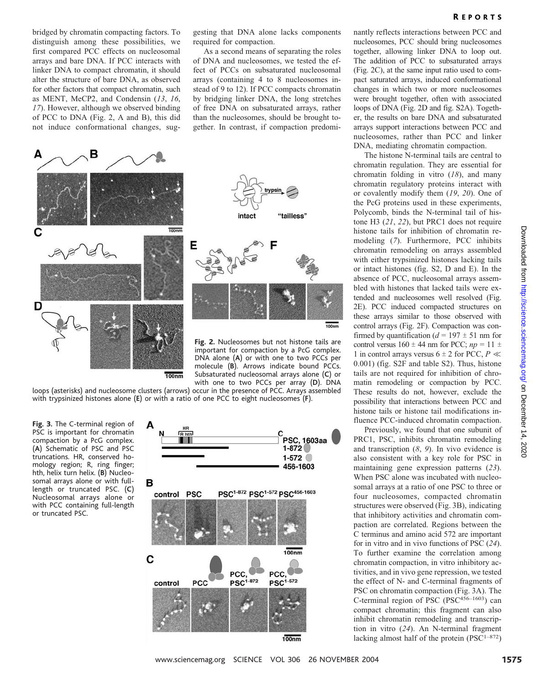bridged by chromatin compacting factors. To distinguish among these possibilities, we first compared PCC effects on nucleosomal arrays and bare DNA. If PCC interacts with linker DNA to compact chromatin, it should alter the structure of bare DNA, as observed for other factors that compact chromatin, such as MENT, MeCP2, and Condensin (13, 16, 17). However, although we observed binding of PCC to DNA (Fig. 2, A and B), this did not induce conformational changes, suggesting that DNA alone lacks components required for compaction.

As a second means of separating the roles of DNA and nucleosomes, we tested the effect of PCCs on subsaturated nucleosomal arrays (containing 4 to 8 nucleosomes instead of 9 to 12). If PCC compacts chromatin by bridging linker DNA, the long stretches of free DNA on subsaturated arrays, rather than the nucleosomes, should be brought together. In contrast, if compaction predomi-



important for compaction by a PcG complex. DNA alone (A) or with one to two PCCs per molecule (B). Arrows indicate bound PCCs. Subsaturated nucleosomal arrays alone (C) or with one to two PCCs per array (D). DNA

loops (asterisks) and nucleosome clusters (arrows) occur in the presence of PCC. Arrays assembled with trypsinized histones alone (E) or with a ratio of one PCC to eight nucleosomes (F).

Fig. 3. The C-terminal region of PSC is important for chromatin compaction by a PcG complex. (A) Schematic of PSC and PSC truncations. HR, conserved homology region; R, ring finger; hth, helix turn helix. (B) Nucleosomal arrays alone or with fulllength or truncated PSC. (C) Nucleosomal arrays alone or with PCC containing full-length or truncated PSC.



nantly reflects interactions between PCC and nucleosomes, PCC should bring nucleosomes together, allowing linker DNA to loop out. The addition of PCC to subsaturated arrays (Fig. 2C), at the same input ratio used to compact saturated arrays, induced conformational changes in which two or more nucleosomes were brought together, often with associated loops of DNA (Fig. 2D and fig. S2A). Together, the results on bare DNA and subsaturated arrays support interactions between PCC and nucleosomes, rather than PCC and linker DNA, mediating chromatin compaction.

The histone N-terminal tails are central to chromatin regulation. They are essential for chromatin folding in vitro  $(18)$ , and many chromatin regulatory proteins interact with or covalently modify them (19, 20). One of the PcG proteins used in these experiments, Polycomb, binds the N-terminal tail of histone H3 (21, 22), but PRC1 does not require histone tails for inhibition of chromatin remodeling (7). Furthermore, PCC inhibits chromatin remodeling on arrays assembled with either trypsinized histones lacking tails or intact histones (fig. S2, D and E). In the absence of PCC, nucleosomal arrays assembled with histones that lacked tails were extended and nucleosomes well resolved (Fig. 2E). PCC induced compacted structures on these arrays similar to those observed with control arrays (Fig. 2F). Compaction was confirmed by quantification ( $d = 197 \pm 51$  nm for control versus  $160 \pm 44$  nm for PCC;  $np = 11 \pm 1$ 1 in control arrays versus 6  $\pm$  2 for PCC, P  $\ll$ 0.001) (fig. S2F and table S2). Thus, histone tails are not required for inhibition of chromatin remodeling or compaction by PCC. These results do not, however, exclude the possibility that interactions between PCC and histone tails or histone tail modifications influence PCC-induced chromatin compaction.

Previously, we found that one subunit of PRC1, PSC, inhibits chromatin remodeling and transcription  $(8, 9)$ . In vivo evidence is also consistent with a key role for PSC in maintaining gene expression patterns (23). When PSC alone was incubated with nucleosomal arrays at a ratio of one PSC to three or four nucleosomes, compacted chromatin structures were observed (Fig. 3B), indicating that inhibitory activities and chromatin compaction are correlated. Regions between the C terminus and amino acid 572 are important for in vitro and in vivo functions of PSC (24). To further examine the correlation among chromatin compaction, in vitro inhibitory activities, and in vivo gene repression, we tested the effect of N- and C-terminal fragments of PSC on chromatin compaction (Fig. 3A). The C-terminal region of PSC (PSC<sup>456-1603</sup>) can compact chromatin; this fragment can also inhibit chromatin remodeling and transcription in vitro (24). An N-terminal fragment lacking almost half of the protein  $(PSC<sup>1–872</sup>)$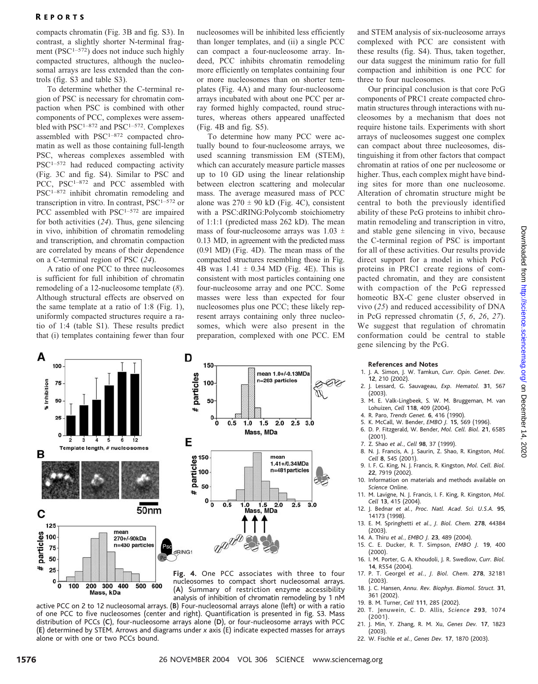### R EPORTS

compacts chromatin (Fig. 3B and fig. S3). In contrast, a slightly shorter N-terminal fragment (PSC<sup>1-572</sup>) does not induce such highly compacted structures, although the nucleosomal arrays are less extended than the controls (fig. S3 and table S3).

To determine whether the C-terminal region of PSC is necessary for chromatin compaction when PSC is combined with other components of PCC, complexes were assembled with PSC<sup>1-872</sup> and PSC<sup>1-572</sup>. Complexes assembled with PSC1–872 compacted chromatin as well as those containing full-length PSC, whereas complexes assembled with PSC1–572 had reduced compacting activity (Fig. 3C and fig. S4). Similar to PSC and PCC, PSC<sup>1-872</sup> and PCC assembled with PSC1–872 inhibit chromatin remodeling and transcription in vitro. In contrast,  $PSC^{1-572}$  or PCC assembled with PSC<sup>1-572</sup> are impaired for both activities (24). Thus, gene silencing in vivo, inhibition of chromatin remodeling and transcription, and chromatin compaction are correlated by means of their dependence on a C-terminal region of PSC (24).

A ratio of one PCC to three nucleosomes is sufficient for full inhibition of chromatin remodeling of a 12-nucleosome template (8). Although structural effects are observed on the same template at a ratio of 1:8 (Fig. 1), uniformly compacted structures require a ratio of 1:4 (table S1). These results predict that (i) templates containing fewer than four nucleosomes will be inhibited less efficiently than longer templates, and (ii) a single PCC can compact a four-nucleosome array. Indeed, PCC inhibits chromatin remodeling more efficiently on templates containing four or more nucleosomes than on shorter templates (Fig. 4A) and many four-nucleosome arrays incubated with about one PCC per array formed highly compacted, round structures, whereas others appeared unaffected (Fig. 4B and fig. S5).

To determine how many PCC were actually bound to four-nucleosome arrays, we used scanning transmission EM (STEM), which can accurately measure particle masses up to 10 GD using the linear relationship between electron scattering and molecular mass. The average measured mass of PCC alone was  $270 \pm 90$  kD (Fig. 4C), consistent with a PSC:dRING:Polycomb stoichiometry of 1:1:1 (predicted mass 262 kD). The mean mass of four-nucleosome arrays was 1.03  $\pm$ 0.13 MD, in agreement with the predicted mass (0.91 MD) (Fig. 4D). The mean mass of the compacted structures resembling those in Fig. 4B was  $1.41 \pm 0.34$  MD (Fig. 4E). This is consistent with most particles containing one four-nucleosome array and one PCC. Some masses were less than expected for four nucleosomes plus one PCC; these likely represent arrays containing only three nucleosomes, which were also present in the preparation, complexed with one PCC. EM



nucleosomes to compact short nucleosomal arrays. (A) Summary of restriction enzyme accessibility analysis of inhibition of chromatin remodeling by 1 nM

active PCC on 2 to 12 nucleosomal arrays. (B) Four-nucleosomal arrays alone (left) or with a ratio of one PCC to five nucleosomes (center and right). Quantification is presented in fig. S3. Mass distribution of PCCs (C), four-nucleosome arrays alone (D), or four-nucleosome arrays with PCC (E) determined by STEM. Arrows and diagrams under x axis (E) indicate expected masses for arrays alone or with one or two PCCs bound.

and STEM analysis of six-nucleosome arrays complexed with PCC are consistent with these results (fig. S4). Thus, taken together, our data suggest the minimum ratio for full compaction and inhibition is one PCC for three to four nucleosomes.

Our principal conclusion is that core PcG components of PRC1 create compacted chromatin structures through interactions with nucleosomes by a mechanism that does not require histone tails. Experiments with short arrays of nucleosomes suggest one complex can compact about three nucleosomes, distinguishing it from other factors that compact chromatin at ratios of one per nucleosome or higher. Thus, each complex might have binding sites for more than one nucleosome. Alteration of chromatin structure might be central to both the previously identified ability of these PcG proteins to inhibit chromatin remodeling and transcription in vitro, and stable gene silencing in vivo, because the C-terminal region of PSC is important for all of these activities. Our results provide direct support for a model in which PcG proteins in PRC1 create regions of compacted chromatin, and they are consistent with compaction of the PcG repressed homeotic BX-C gene cluster observed in vivo (25) and reduced accessibility of DNA in PcG repressed chromatin  $(5, 6, 26, 27)$ . We suggest that regulation of chromatin conformation could be central to stable gene silencing by the PcG.

### References and Notes

- 1. J. A. Simon, J. W. Tamkun, Curr. Opin. Genet. Dev. 12, 210 (2002).
- 2. J. Lessard, G. Sauvageau, Exp. Hematol. 31, 567  $(2003)$
- 3. M. E. Valk-Lingbeek, S. W. M. Bruggeman, M. van Lohuizen, Cell 118, 409 (2004).
- 4. R. Paro, Trends Genet. 6, 416 (1990).
- 5. K. McCall, W. Bender, EMBO J. 15, 569 (1996). 6. D. P. Fitzgerald, W. Bender, Mol. Cell. Biol. 21, 6585
- (2001). 7. Z. Shao et al., Cell 98, 37 (1999).
- 
- 8. N. J. Francis, A. J. Saurin, Z. Shao, R. Kingston, Mol. Cell 8, 545 (2001).
- 9. I. F. G. King, N. J. Francis, R. Kingston, Mol. Cell. Biol. 22, 7919 (2002).
- 10. Information on materials and methods available on Science Online.
- 11. M. Lavigne, N. J. Francis, I. F. King, R. Kingston, Mol. Cell 13, 415 (2004).
- 12. J. Bednar et al., Proc. Natl. Acad. Sci. U.S.A. 95, 14173 (1998).
- 13. E. M. Springhetti et al., J. Biol. Chem. 278, 44384 (2003).
- 14. A. Thiru et al., EMBO J. 23, 489 (2004).
- 15. C. E. Ducker, R. T. Simpson, EMBO J. 19, 400 (2000).
- 16. I. M. Porter, G. A. Khoudoli, J. R. Swedlow, Curr. Biol. 14, R554 (2004).
- 17. P. T. Georgel et al., J. Biol. Chem. 278, 32181 (2003).
- 18. J. C. Hansen, Annu. Rev. Biophys. Biomol. Struct. 31, 361 (2002).
- 19. B. M. Turner, Cell 111, 285 (2002).
- 20. T. Jenuwein, C. D. Allis, Science 293, 1074 (2001).
- 21. J. Min, Y. Zhang, R. M. Xu, Genes Dev. 17, 1823 (2003).
- 22. W. Fischle et al., Genes Dev. 17, 1870 (2003).

 $\ddot{\mathbf{0}}$ 100 200 300 400

Mass, kDa

500 600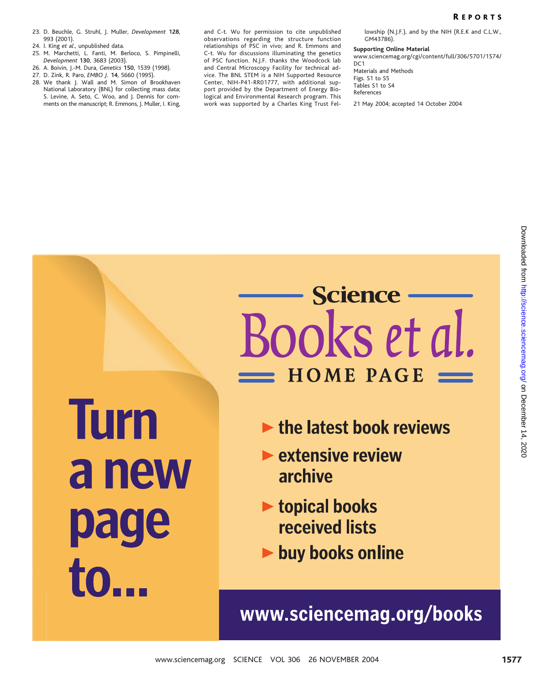### R EPORTS

- 23. D. Beuchle, G. Struhl, J. Muller, Development 128, 993 (2001).
- 24. I. King et al., unpublished data.
- 25. M. Marchetti, L. Fanti, M. Berloco, S. Pimpinelli, Development 130, 3683 (2003).
- 26. A. Boivin, J.-M. Dura, Genetics 150, 1539 (1998).
- 27. D. Zink, R. Paro, EMBO J. 14, 5660 (1995). 28. We thank J. Wall and M. Simon of Brookhaven
- National Laboratory (BNL) for collecting mass data; S. Levine, A. Seto, C. Woo, and J. Dennis for comments on the manuscript; R. Emmons, J. Muller, I. King,

and C-t. Wu for permission to cite unpublished observations regarding the structure function relationships of PSC in vivo; and R. Emmons and C-t. Wu for discussions illuminating the genetics of PSC function. N.J.F. thanks the Woodcock lab and Central Microscopy Facility for technical advice. The BNL STEM is a NIH Supported Resource Center, NIH-P41-RR01777, with additional support provided by the Department of Energy Biological and Environmental Research program. This work was supported by a Charles King Trust Fellowship (N.J.F.), and by the NIH (R.E.K and C.L.W., GM43786).

### Supporting Online Material

www.sciencemag.org/cgi/content/full/306/5701/1574/ DC<sub>1</sub> Materials and Methods Figs. S1 to S5 Tables S1 to S4 References

21 May 2004; accepted 14 October 2004

# www.sciencemag.org SCIENCE VOL 306 26 NOVEMBER 2004 1577on December 14, 2020 [http://science.science](http://science.sciencemag.org/)mag.org/ Downloaded from

- 
- 
- 
-